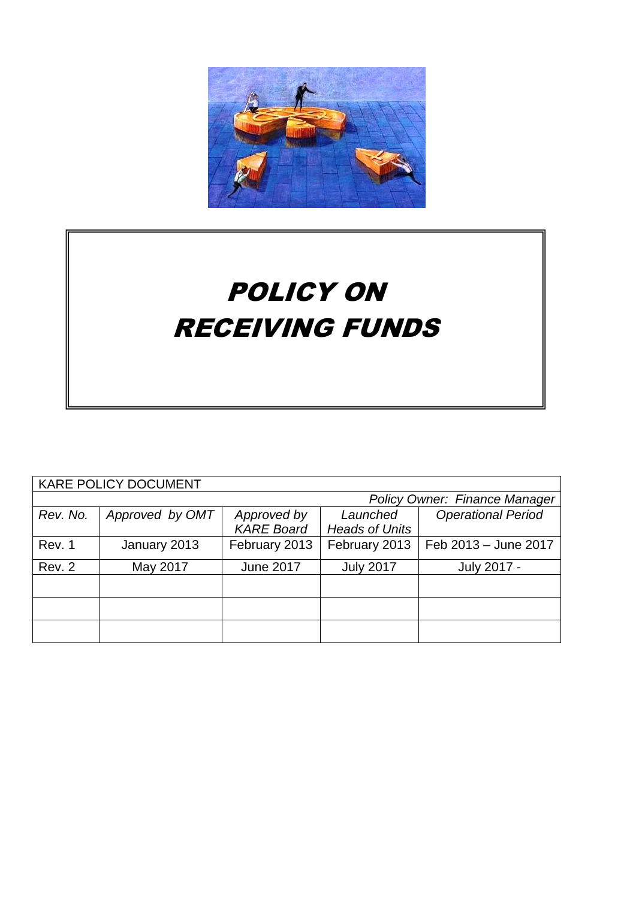

# POLICY ON RECEIVING FUNDS

| <b>KARE POLICY DOCUMENT</b>   |                 |                   |                       |                           |
|-------------------------------|-----------------|-------------------|-----------------------|---------------------------|
| Policy Owner: Finance Manager |                 |                   |                       |                           |
| Rev. No.                      | Approved by OMT | Approved by       | Launched              | <b>Operational Period</b> |
|                               |                 | <b>KARE Board</b> | <b>Heads of Units</b> |                           |
| Rev. 1                        | January 2013    | February 2013     | February 2013         | Feb 2013 - June 2017      |
| Rev. 2                        | May 2017        | <b>June 2017</b>  | <b>July 2017</b>      | July 2017 -               |
|                               |                 |                   |                       |                           |
|                               |                 |                   |                       |                           |
|                               |                 |                   |                       |                           |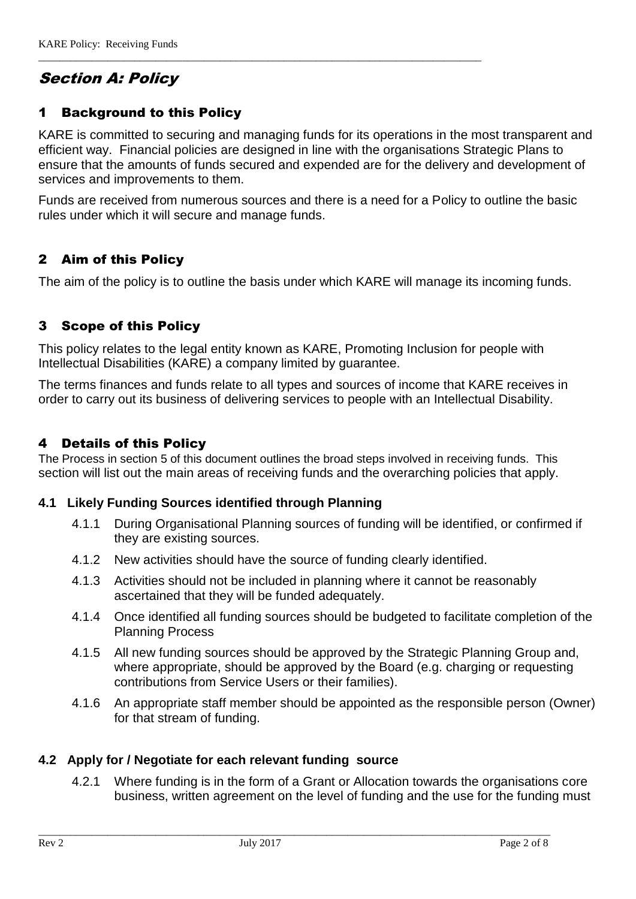# Section A: Policy

# 1 Background to this Policy

KARE is committed to securing and managing funds for its operations in the most transparent and efficient way. Financial policies are designed in line with the organisations Strategic Plans to ensure that the amounts of funds secured and expended are for the delivery and development of services and improvements to them.

\_\_\_\_\_\_\_\_\_\_\_\_\_\_\_\_\_\_\_\_\_\_\_\_\_\_\_\_\_\_\_\_\_\_\_\_\_\_\_\_\_\_\_\_\_\_\_\_\_\_\_\_\_\_\_\_\_\_\_\_\_\_\_\_\_\_\_\_\_\_\_\_\_\_\_\_\_\_\_\_\_\_\_

Funds are received from numerous sources and there is a need for a Policy to outline the basic rules under which it will secure and manage funds.

# 2 Aim of this Policy

The aim of the policy is to outline the basis under which KARE will manage its incoming funds.

# 3 Scope of this Policy

This policy relates to the legal entity known as KARE, Promoting Inclusion for people with Intellectual Disabilities (KARE) a company limited by guarantee.

The terms finances and funds relate to all types and sources of income that KARE receives in order to carry out its business of delivering services to people with an Intellectual Disability.

# 4 Details of this Policy

The Process in section 5 of this document outlines the broad steps involved in receiving funds. This section will list out the main areas of receiving funds and the overarching policies that apply.

#### **4.1 Likely Funding Sources identified through Planning**

- 4.1.1 During Organisational Planning sources of funding will be identified, or confirmed if they are existing sources.
- 4.1.2 New activities should have the source of funding clearly identified.
- 4.1.3 Activities should not be included in planning where it cannot be reasonably ascertained that they will be funded adequately.
- 4.1.4 Once identified all funding sources should be budgeted to facilitate completion of the Planning Process
- 4.1.5 All new funding sources should be approved by the Strategic Planning Group and, where appropriate, should be approved by the Board (e.g. charging or requesting contributions from Service Users or their families).
- 4.1.6 An appropriate staff member should be appointed as the responsible person (Owner) for that stream of funding.

#### **4.2 Apply for / Negotiate for each relevant funding source**

4.2.1 Where funding is in the form of a Grant or Allocation towards the organisations core business, written agreement on the level of funding and the use for the funding must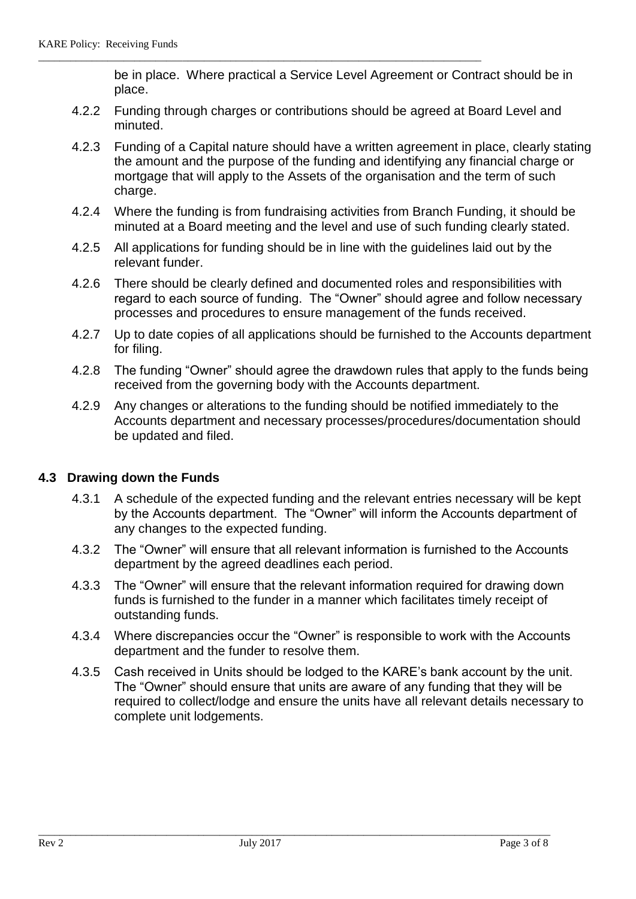be in place. Where practical a Service Level Agreement or Contract should be in place.

4.2.2 Funding through charges or contributions should be agreed at Board Level and minuted.

\_\_\_\_\_\_\_\_\_\_\_\_\_\_\_\_\_\_\_\_\_\_\_\_\_\_\_\_\_\_\_\_\_\_\_\_\_\_\_\_\_\_\_\_\_\_\_\_\_\_\_\_\_\_\_\_\_\_\_\_\_\_\_\_\_\_\_\_\_\_\_\_\_\_\_\_\_\_\_\_\_\_\_

- 4.2.3 Funding of a Capital nature should have a written agreement in place, clearly stating the amount and the purpose of the funding and identifying any financial charge or mortgage that will apply to the Assets of the organisation and the term of such charge.
- 4.2.4 Where the funding is from fundraising activities from Branch Funding, it should be minuted at a Board meeting and the level and use of such funding clearly stated.
- 4.2.5 All applications for funding should be in line with the guidelines laid out by the relevant funder.
- 4.2.6 There should be clearly defined and documented roles and responsibilities with regard to each source of funding. The "Owner" should agree and follow necessary processes and procedures to ensure management of the funds received.
- 4.2.7 Up to date copies of all applications should be furnished to the Accounts department for filing.
- 4.2.8 The funding "Owner" should agree the drawdown rules that apply to the funds being received from the governing body with the Accounts department.
- 4.2.9 Any changes or alterations to the funding should be notified immediately to the Accounts department and necessary processes/procedures/documentation should be updated and filed.

# **4.3 Drawing down the Funds**

- 4.3.1 A schedule of the expected funding and the relevant entries necessary will be kept by the Accounts department. The "Owner" will inform the Accounts department of any changes to the expected funding.
- 4.3.2 The "Owner" will ensure that all relevant information is furnished to the Accounts department by the agreed deadlines each period.
- 4.3.3 The "Owner" will ensure that the relevant information required for drawing down funds is furnished to the funder in a manner which facilitates timely receipt of outstanding funds.
- 4.3.4 Where discrepancies occur the "Owner" is responsible to work with the Accounts department and the funder to resolve them.
- 4.3.5 Cash received in Units should be lodged to the KARE's bank account by the unit. The "Owner" should ensure that units are aware of any funding that they will be required to collect/lodge and ensure the units have all relevant details necessary to complete unit lodgements.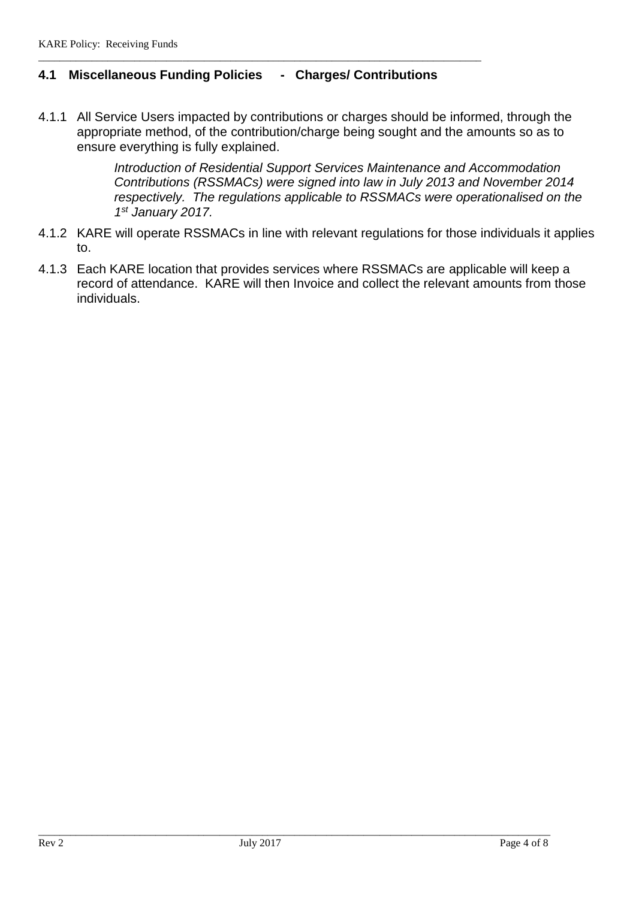# **4.1 Miscellaneous Funding Policies - Charges/ Contributions**

\_\_\_\_\_\_\_\_\_\_\_\_\_\_\_\_\_\_\_\_\_\_\_\_\_\_\_\_\_\_\_\_\_\_\_\_\_\_\_\_\_\_\_\_\_\_\_\_\_\_\_\_\_\_\_\_\_\_\_\_\_\_\_\_\_\_\_\_\_\_\_\_\_\_\_\_\_\_\_\_\_\_\_

4.1.1 All Service Users impacted by contributions or charges should be informed, through the appropriate method, of the contribution/charge being sought and the amounts so as to ensure everything is fully explained.

> *Introduction of Residential Support Services Maintenance and Accommodation Contributions (RSSMACs) were signed into law in July 2013 and November 2014 respectively. The regulations applicable to RSSMACs were operationalised on the 1 st January 2017.*

- 4.1.2 KARE will operate RSSMACs in line with relevant regulations for those individuals it applies to.
- 4.1.3 Each KARE location that provides services where RSSMACs are applicable will keep a record of attendance. KARE will then Invoice and collect the relevant amounts from those individuals.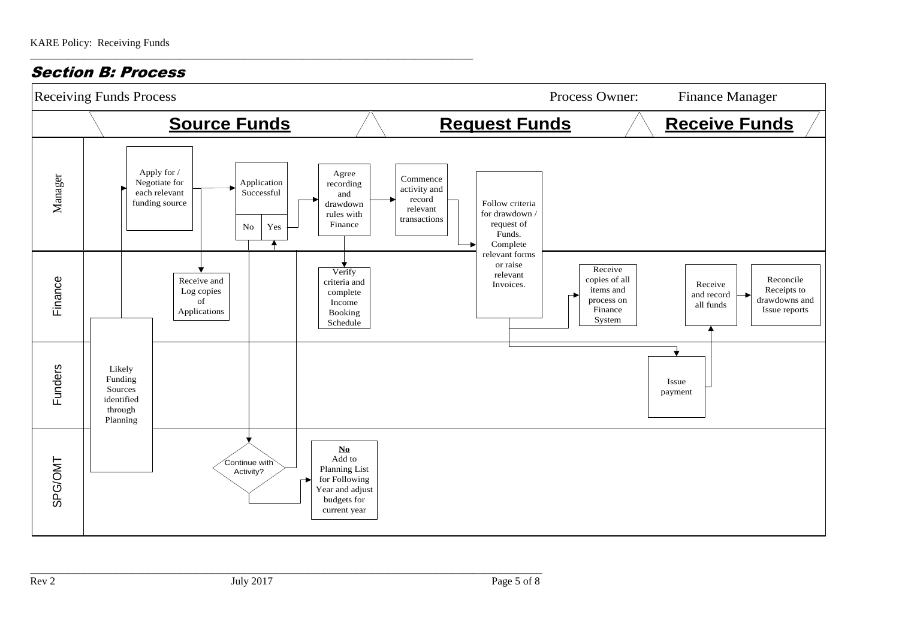Section B: Process

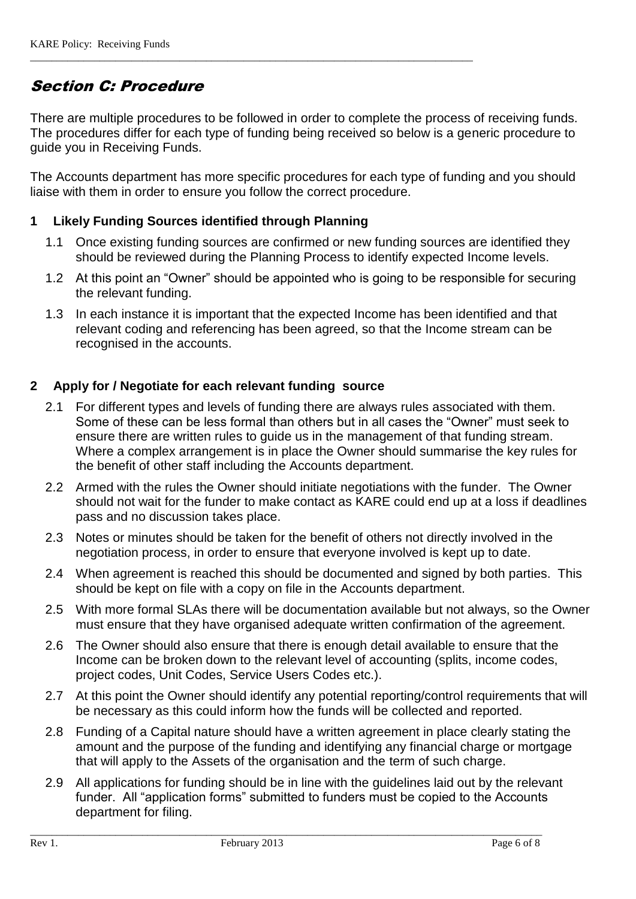# Section C: Procedure

There are multiple procedures to be followed in order to complete the process of receiving funds. The procedures differ for each type of funding being received so below is a generic procedure to guide you in Receiving Funds.

\_\_\_\_\_\_\_\_\_\_\_\_\_\_\_\_\_\_\_\_\_\_\_\_\_\_\_\_\_\_\_\_\_\_\_\_\_\_\_\_\_\_\_\_\_\_\_\_\_\_\_\_\_\_\_\_\_\_\_\_\_\_\_\_\_\_\_\_\_\_\_\_\_\_\_\_\_\_\_\_\_\_\_

The Accounts department has more specific procedures for each type of funding and you should liaise with them in order to ensure you follow the correct procedure.

# **1 Likely Funding Sources identified through Planning**

- 1.1 Once existing funding sources are confirmed or new funding sources are identified they should be reviewed during the Planning Process to identify expected Income levels.
- 1.2 At this point an "Owner" should be appointed who is going to be responsible for securing the relevant funding.
- 1.3 In each instance it is important that the expected Income has been identified and that relevant coding and referencing has been agreed, so that the Income stream can be recognised in the accounts.

# **2 Apply for / Negotiate for each relevant funding source**

- 2.1 For different types and levels of funding there are always rules associated with them. Some of these can be less formal than others but in all cases the "Owner" must seek to ensure there are written rules to guide us in the management of that funding stream. Where a complex arrangement is in place the Owner should summarise the key rules for the benefit of other staff including the Accounts department.
- 2.2 Armed with the rules the Owner should initiate negotiations with the funder. The Owner should not wait for the funder to make contact as KARE could end up at a loss if deadlines pass and no discussion takes place.
- 2.3 Notes or minutes should be taken for the benefit of others not directly involved in the negotiation process, in order to ensure that everyone involved is kept up to date.
- 2.4 When agreement is reached this should be documented and signed by both parties. This should be kept on file with a copy on file in the Accounts department.
- 2.5 With more formal SLAs there will be documentation available but not always, so the Owner must ensure that they have organised adequate written confirmation of the agreement.
- 2.6 The Owner should also ensure that there is enough detail available to ensure that the Income can be broken down to the relevant level of accounting (splits, income codes, project codes, Unit Codes, Service Users Codes etc.).
- 2.7 At this point the Owner should identify any potential reporting/control requirements that will be necessary as this could inform how the funds will be collected and reported.
- 2.8 Funding of a Capital nature should have a written agreement in place clearly stating the amount and the purpose of the funding and identifying any financial charge or mortgage that will apply to the Assets of the organisation and the term of such charge.
- 2.9 All applications for funding should be in line with the guidelines laid out by the relevant funder. All "application forms" submitted to funders must be copied to the Accounts department for filing.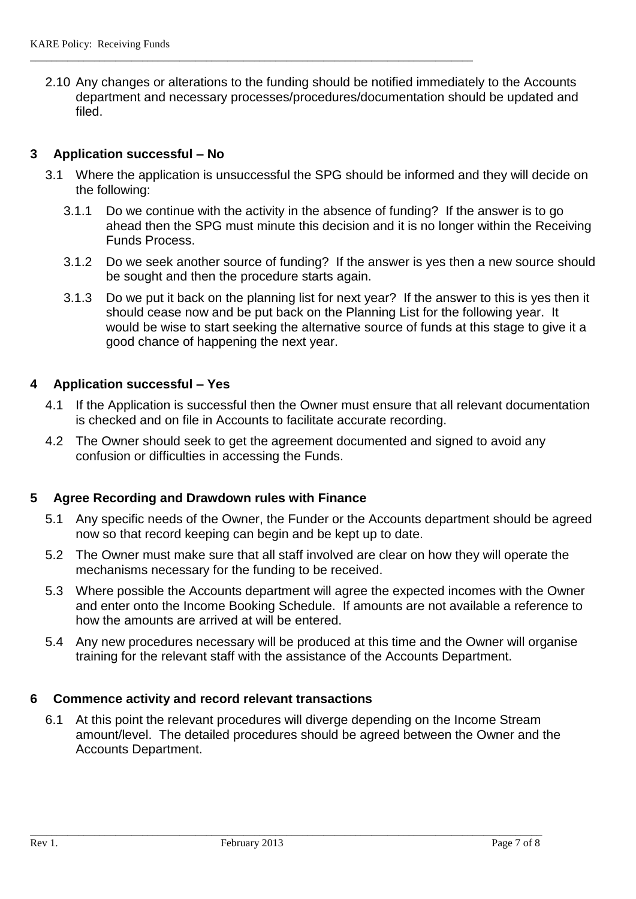2.10 Any changes or alterations to the funding should be notified immediately to the Accounts department and necessary processes/procedures/documentation should be updated and filed.

\_\_\_\_\_\_\_\_\_\_\_\_\_\_\_\_\_\_\_\_\_\_\_\_\_\_\_\_\_\_\_\_\_\_\_\_\_\_\_\_\_\_\_\_\_\_\_\_\_\_\_\_\_\_\_\_\_\_\_\_\_\_\_\_\_\_\_\_\_\_\_\_\_\_\_\_\_\_\_\_\_\_\_

#### **3 Application successful – No**

- 3.1 Where the application is unsuccessful the SPG should be informed and they will decide on the following:
	- 3.1.1 Do we continue with the activity in the absence of funding? If the answer is to go ahead then the SPG must minute this decision and it is no longer within the Receiving Funds Process.
	- 3.1.2 Do we seek another source of funding? If the answer is yes then a new source should be sought and then the procedure starts again.
	- 3.1.3 Do we put it back on the planning list for next year? If the answer to this is yes then it should cease now and be put back on the Planning List for the following year. It would be wise to start seeking the alternative source of funds at this stage to give it a good chance of happening the next year.

# **4 Application successful – Yes**

- 4.1 If the Application is successful then the Owner must ensure that all relevant documentation is checked and on file in Accounts to facilitate accurate recording.
- 4.2 The Owner should seek to get the agreement documented and signed to avoid any confusion or difficulties in accessing the Funds.

#### **5 Agree Recording and Drawdown rules with Finance**

- 5.1 Any specific needs of the Owner, the Funder or the Accounts department should be agreed now so that record keeping can begin and be kept up to date.
- 5.2 The Owner must make sure that all staff involved are clear on how they will operate the mechanisms necessary for the funding to be received.
- 5.3 Where possible the Accounts department will agree the expected incomes with the Owner and enter onto the Income Booking Schedule. If amounts are not available a reference to how the amounts are arrived at will be entered.
- 5.4 Any new procedures necessary will be produced at this time and the Owner will organise training for the relevant staff with the assistance of the Accounts Department.

#### **6 Commence activity and record relevant transactions**

6.1 At this point the relevant procedures will diverge depending on the Income Stream amount/level. The detailed procedures should be agreed between the Owner and the Accounts Department.